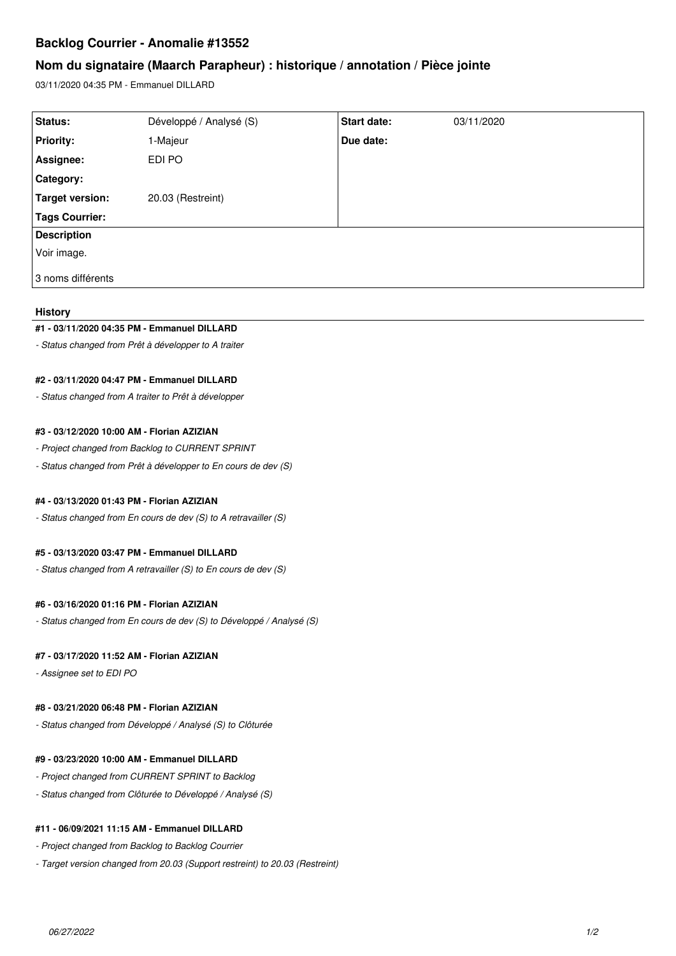# **Backlog Courrier - Anomalie #13552**

# **Nom du signataire (Maarch Parapheur) : historique / annotation / Pièce jointe**

03/11/2020 04:35 PM - Emmanuel DILLARD

| Status:                | Développé / Analysé (S) | Start date: | 03/11/2020 |
|------------------------|-------------------------|-------------|------------|
| <b>Priority:</b>       | 1-Majeur                | Due date:   |            |
| Assignee:              | EDI PO                  |             |            |
| Category:              |                         |             |            |
| <b>Target version:</b> | 20.03 (Restreint)       |             |            |
| <b>Tags Courrier:</b>  |                         |             |            |
| <b>Description</b>     |                         |             |            |
| Voir image.            |                         |             |            |
| l 3 noms différents    |                         |             |            |

## **History**

### **#1 - 03/11/2020 04:35 PM - Emmanuel DILLARD**

*- Status changed from Prêt à développer to A traiter*

## **#2 - 03/11/2020 04:47 PM - Emmanuel DILLARD**

*- Status changed from A traiter to Prêt à développer*

## **#3 - 03/12/2020 10:00 AM - Florian AZIZIAN**

*- Project changed from Backlog to CURRENT SPRINT*

*- Status changed from Prêt à développer to En cours de dev (S)*

### **#4 - 03/13/2020 01:43 PM - Florian AZIZIAN**

*- Status changed from En cours de dev (S) to A retravailler (S)*

## **#5 - 03/13/2020 03:47 PM - Emmanuel DILLARD**

*- Status changed from A retravailler (S) to En cours de dev (S)*

### **#6 - 03/16/2020 01:16 PM - Florian AZIZIAN**

*- Status changed from En cours de dev (S) to Développé / Analysé (S)*

### **#7 - 03/17/2020 11:52 AM - Florian AZIZIAN**

*- Assignee set to EDI PO*

### **#8 - 03/21/2020 06:48 PM - Florian AZIZIAN**

*- Status changed from Développé / Analysé (S) to Clôturée*

### **#9 - 03/23/2020 10:00 AM - Emmanuel DILLARD**

- *Project changed from CURRENT SPRINT to Backlog*
- *Status changed from Clôturée to Développé / Analysé (S)*

## **#11 - 06/09/2021 11:15 AM - Emmanuel DILLARD**

- *Project changed from Backlog to Backlog Courrier*
- *Target version changed from 20.03 (Support restreint) to 20.03 (Restreint)*